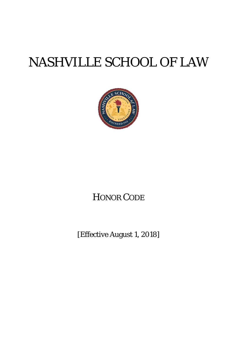# NASHVILLE SCHOOL OF LAW



# HONOR CODE

[Effective August 1, 2018]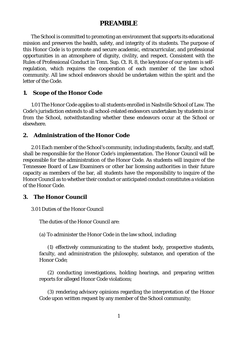# **PREAMBLE**

The School is committed to promoting an environment that supports its educational mission and preserves the health, safety, and integrity of its students. The purpose of this Honor Code is to promote and secure academic, extracurricular, and professional opportunities in an atmosphere of dignity, civility, and respect. Consistent with the Rules of Professional Conduct in Tenn. Sup. Ct. R. 8, the keystone of our system is selfregulation, which requires the cooperation of each member of the law school community. All law school endeavors should be undertaken within the spirit and the letter of the Code.

# **1. Scope of the Honor Code**

1.01 The Honor Code applies to all students enrolled in Nashville School of Law. The Code's jurisdiction extends to all school-related endeavors undertaken by students in or from the School, notwithstanding whether these endeavors occur at the School or elsewhere.

# **2. Administration of the Honor Code**

2.01 Each member of the School's community, including students, faculty, and staff, shall be responsible for the Honor Code's implementation. The Honor Council will be responsible for the administration of the Honor Code. As students will inquire of the Tennessee Board of Law Examiners or other bar licensing authorities in their future capacity as members of the bar, all students have the responsibility to inquire of the Honor Council as to whether their conduct or anticipated conduct constitutes a violation of the Honor Code.

# **3. The Honor Council**

3.01 Duties of the Honor Council

The duties of the Honor Council are:

(a) To administer the Honor Code in the law school, including:

(1) effectively communicating to the student body, prospective students, faculty, and administration the philosophy, substance, and operation of the Honor Code;

(2) conducting investigations, holding hearings, and preparing written reports for alleged Honor Code violations;

(3) rendering advisory opinions regarding the interpretation of the Honor Code upon written request by any member of the School community;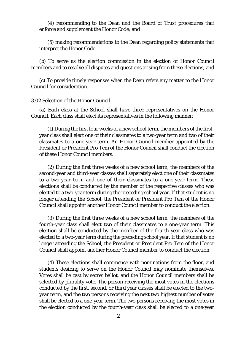(4) recommending to the Dean and the Board of Trust procedures that enforce and supplement the Honor Code; and

(5) making recommendations to the Dean regarding policy statements that interpret the Honor Code.

(b) To serve as the election commission in the election of Honor Council members and to resolve all disputes and questions arising from these elections; and

(c) To provide timely responses when the Dean refers any matter to the Honor Council for consideration.

#### 3.02 Selection of the Honor Council

(a) Each class at the School shall have three representatives on the Honor Council. Each class shall elect its representatives in the following manner:

(1) During the first four weeks of a new school term, the members of the firstyear class shall elect one of their classmates to a two-year term and two of their classmates to a one-year term. An Honor Council member appointed by the President or President Pro Tem of the Honor Council shall conduct the election of these Honor Council members.

(2) During the first three weeks of a new school term, the members of the second-year and third-year classes shall separately elect one of their classmates to a two-year term and one of their classmates to a one-year term. These elections shall be conducted by the member of the respective classes who was elected to a two-year term during the preceding school year. If that student is no longer attending the School, the President or President Pro Tem of the Honor Council shall appoint another Honor Council member to conduct the election.

(3) During the first three weeks of a new school term, the members of the fourth-year class shall elect two of their classmates to a one-year term. This election shall be conducted by the member of the fourth-year class who was elected to a two-year term during the preceding school year. If that student is no longer attending the School, the President or President Pro Tem of the Honor Council shall appoint another Honor Council member to conduct the election.

(4) These elections shall commence with nominations from the floor, and students desiring to serve on the Honor Council may nominate themselves. Votes shall be cast by secret ballot, and the Honor Council members shall be selected by plurality vote. The person receiving the most votes in the elections conducted by the first, second, or third year classes shall be elected to the twoyear term, and the two persons receiving the next two highest number of votes shall be elected to a one-year term. The two persons receiving the most votes in the election conducted by the fourth-year class shall be elected to a one-year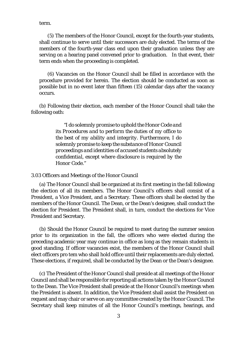term.

(5) The members of the Honor Council, except for the fourth-year students, shall continue to serve until their successors are duly elected. The terms of the members of the fourth-year class end upon their graduation unless they are serving on a hearing panel convened prior to graduation. In that event, their term ends when the proceeding is completed.

(6) Vacancies on the Honor Council shall be filled in accordance with the procedure provided for herein. The election should be conducted as soon as possible but in no event later than fifteen (15) calendar days after the vacancy occurs.

(b) Following their election, each member of the Honor Council shall take the following oath:

> *"I do solemnly promise to uphold the Honor Code and its Procedures and to perform the duties of my office to the best of my ability and integrity. Furthermore, I do solemnly promise to keep the substance of Honor Council proceedings and identities of accused students absolutely confidential, except where disclosure is required by the Honor Code."*

3.03 Officers and Meetings of the Honor Council

(a) The Honor Council shall be organized at its first meeting in the fall following the election of all its members. The Honor Council's officers shall consist of a President, a Vice President, and a Secretary. These officers shall be elected by the members of the Honor Council. The Dean, or the Dean's designee, shall conduct the election for President. The President shall, in turn, conduct the elections for Vice President and Secretary.

(b) Should the Honor Council be required to meet during the summer session prior to its organization in the fall, the officers who were elected during the preceding academic year may continue in office as long as they remain students in good standing. If officer vacancies exist, the members of the Honor Council shall elect officers pro tem who shall hold office until their replacements are duly elected. These elections, if required, shall be conducted by the Dean or the Dean's designee.

(c) The President of the Honor Council shall preside at all meetings of the Honor Council and shall be responsible for reporting all actions taken by the Honor Council to the Dean. The Vice President shall preside at the Honor Council's meetings when the President is absent. In addition, the Vice President shall assist the President on request and may chair or serve on any committee created by the Honor Council. The Secretary shall keep minutes of all the Honor Council's meetings, hearings, and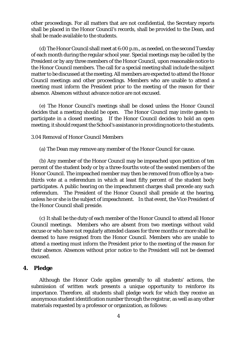other proceedings. For all matters that are not confidential, the Secretary reports shall be placed in the Honor Council's records, shall be provided to the Dean, and shall be made available to the students.

(d) The Honor Council shall meet at 6:00 p.m., as needed, on the second Tuesday of each month during the regular school year. Special meetings may be called by the President or by any three members of the Honor Council, upon reasonable notice to the Honor Council members. The call for a special meeting shall include the subject matter to be discussed at the meeting. All members are expected to attend the Honor Council meetings and other proceedings. Members who are unable to attend a meeting must inform the President prior to the meeting of the reason for their absence. Absences without advance notice are not excused.

(e) The Honor Council's meetings shall be closed unless the Honor Council decides that a meeting should be open. The Honor Council may invite guests to participate in a closed meeting. If the Honor Council decides to hold an open meeting, it should request the School's assistance in providing notice to the students.

3.04 Removal of Honor Council Members

(a) The Dean may remove any member of the Honor Council for cause.

(b) Any member of the Honor Council may be impeached upon petition of ten percent of the student body or by a three-fourths vote of the seated members of the Honor Council. The impeached member may then be removed from office by a twothirds vote at a referendum in which at least fifty percent of the student body participates. A public hearing on the impeachment charges shall precede any such referendum. The President of the Honor Council shall preside at the hearing, unless he or she is the subject of impeachment. In that event, the Vice President of the Honor Council shall preside.

(c) It shall be the duty of each member of the Honor Council to attend all Honor Council meetings. Members who are absent from two meetings without valid excuse or who have not regularly attended classes for three months or more shall be deemed to have resigned from the Honor Council. Members who are unable to attend a meeting must inform the President prior to the meeting of the reason for their absence. Absences without prior notice to the President will not be deemed excused.

# **4. Pledge**

Although the Honor Code applies generally to all students' actions, the submission of written work presents a unique opportunity to reinforce its importance. Therefore, all students shall pledge work for which they receive an anonymous student identification number through the registrar, as well as any other materials requested by a professor or organization, as follows: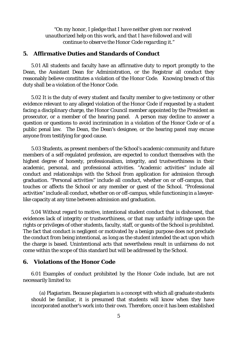*"On my honor, I pledge that I have neither given nor received unauthorized help on this work, and that I have followed and will continue to observe the Honor Code regarding it."*

# **5. Affirmative Duties and Standards of Conduct**

5.01 All students and faculty have an affirmative duty to report promptly to the Dean, the Assistant Dean for Administration, or the Registrar all conduct they reasonably believe constitutes a violation of the Honor Code. Knowing breach of this duty shall be a violation of the Honor Code.

5.02 It is the duty of every student and faculty member to give testimony or other evidence relevant to any alleged violation of the Honor Code if requested by a student facing a disciplinary charge, the Honor Council member appointed by the President as prosecutor, or a member of the hearing panel. A person may decline to answer a question or questions to avoid incrimination in a violation of the Honor Code or of a public penal law. The Dean, the Dean's designee, or the hearing panel may excuse anyone from testifying for good cause.

5.03 Students, as present members of the School's academic community and future members of a self-regulated profession, are expected to conduct themselves with the highest degree of honesty, professionalism, integrity, and trustworthiness in their academic, personal, and professional activities. "Academic activities" include all conduct and relationships with the School from application for admission through graduation. "Personal activities" include all conduct, whether on or off-campus, that touches or affects the School or any member or guest of the School. "Professional activities" include all conduct, whether on or off-campus, while functioning in a lawyerlike capacity at any time between admission and graduation.

5.04 Without regard to motive, intentional student conduct that is dishonest, that evidences lack of integrity or trustworthiness, or that may unfairly infringe upon the rights or privileges of other students, faculty, staff, or guests of the School is prohibited. The fact that conduct is negligent or motivated by a benign purpose does not preclude the conduct from being intentional, as long as the student intended the act upon which the charge is based. Unintentional acts that nevertheless result in unfairness do not come within the scope of this standard but will be addressed by the School.

# **6. Violations of the Honor Code**

6.01 Examples of conduct prohibited by the Honor Code include, but are not necessarily limited to:

(a) Plagiarism. Because plagiarism is a concept with which all graduate students should be familiar, it is presumed that students will know when they have incorporated another's work into their own. Therefore, once it has been established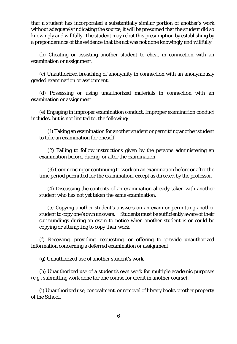that a student has incorporated a substantially similar portion of another's work without adequately indicating the source, it will be presumed that the student did so knowingly and willfully. The student may rebut this presumption by establishing by a preponderance of the evidence that the act was not done knowingly and willfully.

(b) Cheating or assisting another student to cheat in connection with an examination or assignment.

(c) Unauthorized breaching of anonymity in connection with an anonymously graded examination or assignment.

(d) Possessing or using unauthorized materials in connection with an examination or assignment.

(e) Engaging in improper examination conduct. Improper examination conduct includes, but is not limited to, the following:

(1) Taking an examination for another student or permitting another student to take an examination for oneself.

(2) Failing to follow instructions given by the persons administering an examination before, during, or after the examination.

(3) Commencing or continuing to work on an examination before or after the time period permitted for the examination, except as directed by the professor.

(4) Discussing the contents of an examination already taken with another student who has not yet taken the same examination.

(5) Copying another student's answers on an exam or permitting another student to copy one's own answers. Students must be sufficiently aware of their surroundings during an exam to notice when another student is or could be copying or attempting to copy their work.

(f) Receiving, providing, requesting, or offering to provide unauthorized information concerning a deferred examination or assignment.

(g) Unauthorized use of another student's work.

(h) Unauthorized use of a student's own work for multiple academic purposes (e.g., submitting work done for one course for credit in another course).

(i) Unauthorized use, concealment, or removal of library books or other property of the School.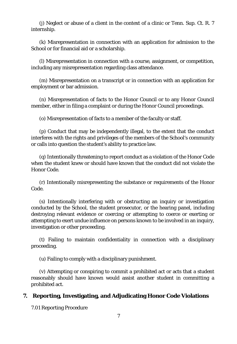(j) Neglect or abuse of a client in the context of a clinic or Tenn. Sup. Ct. R. 7 internship.

(k) Misrepresentation in connection with an application for admission to the School or for financial aid or a scholarship.

(l) Misrepresentation in connection with a course, assignment, or competition, including any misrepresentation regarding class attendance.

(m) Misrepresentation on a transcript or in connection with an application for employment or bar admission.

(n) Misrepresentation of facts to the Honor Council or to any Honor Council member, either in filing a complaint or during the Honor Council proceedings.

(o) Misrepresentation of facts to a member of the faculty or staff.

(p) Conduct that may be independently illegal, to the extent that the conduct interferes with the rights and privileges of the members of the School's community or calls into question the student's ability to practice law.

(q) Intentionally threatening to report conduct as a violation of the Honor Code when the student knew or should have known that the conduct did not violate the Honor Code.

(r) Intentionally misrepresenting the substance or requirements of the Honor Code.

(s) Intentionally interfering with or obstructing an inquiry or investigation conducted by the School, the student prosecutor, or the hearing panel, including destroying relevant evidence or coercing or attempting to coerce or exerting or attempting to exert undue influence on persons known to be involved in an inquiry, investigation or other proceeding.

(t) Failing to maintain confidentiality in connection with a disciplinary proceeding.

(u) Failing to comply with a disciplinary punishment.

(v) Attempting or conspiring to commit a prohibited act or acts that a student reasonably should have known would assist another student in committing a prohibited act.

# **7. Reporting, Investigating, and Adjudicating Honor Code Violations**

7.01 Reporting Procedure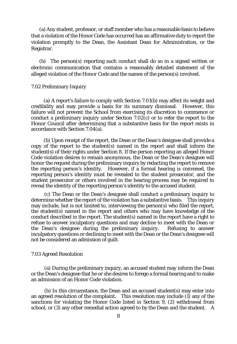(a) Any student, professor, or staff member who has a reasonable basis to believe that a violation of the Honor Code has occurred has an affirmative duty to report the violation promptly to the Dean, the Assistant Dean for Administration, or the Registrar.

(b) The person(s) reporting such conduct shall do so in a signed written or electronic communication that contains a reasonably detailed statement of the alleged violation of the Honor Code and the names of the person(s) involved.

#### 7.02 Preliminary Inquiry

 (a) A report's failure to comply with Section 7.01(b) may affect its weight and credibility and may provide a basis for its summary dismissal. However, this failure will not prevent the School from exercising its discretion to commence or conduct a preliminary inquiry under Section 7.02(c) or to refer the report to the Honor Council after determining that a substantive basis for the report exists in accordance with Section 7.04(a).

 (b) Upon receipt of the report, the Dean or the Dean's designee shall provide a copy of the report to the student(s) named in the report and shall inform the student(s) of their rights under Section 8. If the person reporting an alleged Honor Code violation desires to remain anonymous, the Dean or the Dean's designee will honor the request during the preliminary inquiry by redacting the report to remove the reporting person's identity. However, if a formal hearing is convened, the reporting person's identity must be revealed to the student prosecutor, and the student prosecutor or others involved in the hearing process may be required to reveal the identity of the reporting person's identity to the accused student.

 (c) The Dean or the Dean's designee shall conduct a preliminary inquiry to determine whether the report of the violation has a substantive basis. This inquiry may include, but is not limited to, interviewing the person(s) who filed the report, the student(s) named in the report and others who may have knowledge of the conduct described in the report. The student(s) named in the report have a right to refuse to answer inculpatory questions and may decline to meet with the Dean or the Dean's designee during the preliminary inquiry. Refusing to answer inculpatory questions or declining to meet with the Dean or the Dean's designee will not be considered an admission of guilt.

#### 7.03 Agreed Resolution

 (a) During the preliminary inquiry, an accused student may inform the Dean or the Dean's designee that he or she desires to forego a formal hearing and to make an admission of an Honor Code violation.

 (b) In this circumstance, the Dean and an accused student(s) may enter into an agreed resolution of the complaint. This resolution may include (1) any of the sanctions for violating the Honor Code listed in Section 9, (2) withdrawal from school, or (3) any other remedial action agreed to by the Dean and the student. A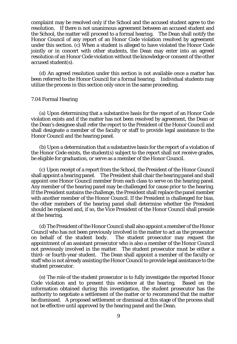complaint may be resolved only if the School and the accused student agree to the resolution. If there is not unanimous agreement between an accused student and the School, the matter will proceed to a formal hearing. The Dean shall notify the Honor Council of any report of an Honor Code violation resolved by agreement under this section. (c) When a student is alleged to have violated the Honor Code jointly or in concert with other students, the Dean may enter into an agreed resolution of an Honor Code violation without the knowledge or consent of the other accused student(s).

(d) An agreed resolution under this section is not available once a matter has been referred to the Honor Council for a formal hearing. Individual students may utilize the process in this section only once in the same proceeding.

#### 7.04 Formal Hearing

(a) Upon determining that a substantive basis for the report of an Honor Code violation exists and if the matter has not been resolved by agreement, the Dean or the Dean's designee shall refer the report to the President of the Honor Council and shall designate a member of the faculty or staff to provide legal assistance to the Honor Council and the hearing panel.

(b) Upon a determination that a substantive basis for the report of a violation of the Honor Code exists, the student(s) subject to the report shall not receive grades, be eligible for graduation, or serve as a member of the Honor Council.

(c) Upon receipt of a report from the School, the President of the Honor Council shall appoint a hearing panel. The President shall chair the hearing panel and shall appoint one Honor Council member from each class to serve on the hearing panel. Any member of the hearing panel may be challenged for cause prior to the hearing. If the President sustains the challenge, the President shall replace the panel member with another member of the Honor Council. If the President is challenged for bias, the other members of the hearing panel shall determine whether the President should be replaced and, if so, the Vice President of the Honor Council shall preside at the hearing.

(d) The President of the Honor Council shall also appoint a member of the Honor Council who has not been previously involved in the matter to act as the prosecutor on behalf of the student body. The student prosecutor may request the appointment of an assistant prosecutor who is also a member of the Honor Council not previously involved in the matter. The student prosecutor must be either a third- or fourth-year student. The Dean shall appoint a member of the faculty or staff who is not already assisting the Honor Council to provide legal assistance to the student prosecutor.

(e) The role of the student prosecutor is to fully investigate the reported Honor Code violation and to present this evidence at the hearing. Based on the information obtained during this investigation, the student prosecutor has the authority to negotiate a settlement of the matter or to recommend that the matter be dismissed. A proposed settlement or dismissal at this stage of the process shall not be effective until approved by the hearing panel and the Dean.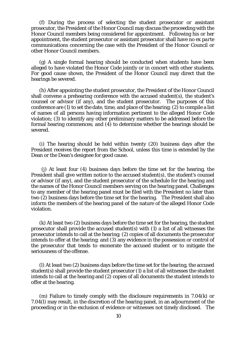(f) During the process of selecting the student prosecutor or assistant prosecutor, the President of the Honor Council may discuss the proceeding with the Honor Council members being considered for appointment. Following his or her appointment, the student prosecutor or assistant prosecutor shall have no *ex parte* communications concerning the case with the President of the Honor Council or other Honor Council members.

(g) A single formal hearing should be conducted when students have been alleged to have violated the Honor Code jointly or in concert with other students. For good cause shown, the President of the Honor Council may direct that the hearings be severed.

(h) After appointing the student prosecutor, the President of the Honor Council shall convene a prehearing conference with the accused student(s), the student's counsel or advisor (if any), and the student prosecutor. The purposes of this conference are (1) to set the date, time, and place of the hearing; (2) to compile a list of names of all persons having information pertinent to the alleged Honor Code violation; (3) to identify any other preliminary matters to be addressed before the formal hearing commences; and (4) to determine whether the hearings should be severed.

(i) The hearing should be held within twenty (20) business days after the President receives the report from the School, unless this time is extended by the Dean or the Dean's designee for good cause.

(j) At least four (4) business days before the time set for the hearing, the President shall give written notice to the accused student(s), the student's counsel or advisor (if any), and the student prosecutor of the schedule for the hearing and the names of the Honor Council members serving on the hearing panel. Challenges to any member of the hearing panel must be filed with the President no later than two (2) business days before the time set for the hearing. The President shall also inform the members of the hearing panel of the nature of the alleged Honor Code violation.

(k) At least two (2) business days before the time set for the hearing, the student prosecutor shall provide the accused student(s) with (1) a list of all witnesses the prosecutor intends to call at the hearing; (2) copies of all documents the prosecutor intends to offer at the hearing; and (3) any evidence in the possession or control of the prosecutor that tends to exonerate the accused student or to mitigate the seriousness of the offense.

(l) At least two (2) business days before the time set for the hearing, the accused student(s) shall provide the student prosecutor (1) a list of all witnesses the student intends to call at the hearing and (2) copies of all documents the student intends to offer at the hearing.

(m) Failure to timely comply with the disclosure requirements in 7.04(k) or 7.04(l) may result, in the discretion of the hearing panel, in an adjournment of the proceeding or in the exclusion of evidence or witnesses not timely disclosed. The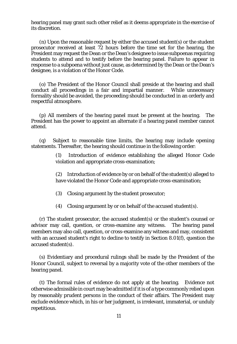hearing panel may grant such other relief as it deems appropriate in the exercise of its discretion.

(n) Upon the reasonable request by either the accused student(s) or the student prosecutor received at least 72 hours before the time set for the hearing, the President may request the Dean or the Dean's designee to issue subpoenas requiring students to attend and to testify before the hearing panel. Failure to appear in response to a subpoena without just cause, as determined by the Dean or the Dean's designee, is a violation of the Honor Code.

(o) The President of the Honor Council shall preside at the hearing and shall conduct all proceedings in a fair and impartial manner. While unnecessary formality should be avoided, the proceeding should be conducted in an orderly and respectful atmosphere.

(p) All members of the hearing panel must be present at the hearing. The President has the power to appoint an alternate if a hearing panel member cannot attend.

(q) Subject to reasonable time limits, the hearing may include opening statements. Thereafter, the hearing should continue in the following order:

> (1) Introduction of evidence establishing the alleged Honor Code violation and appropriate cross-examination;

> (2) Introduction of evidence by or on behalf of the student(s) alleged to have violated the Honor Code and appropriate cross-examination;

(3) Closing argument by the student prosecutor;

(4) Closing argument by or on behalf of the accused student(s).

(r) The student prosecutor, the accused student(s) or the student's counsel or advisor may call, question, or cross-examine any witness. The hearing panel members may also call, question, or cross-examine any witness and may, consistent with an accused student's right to decline to testify in Section 8.01(f), question the accused student(s).

(s) Evidentiary and procedural rulings shall be made by the President of the Honor Council, subject to reversal by a majority vote of the other members of the hearing panel.

(t) The formal rules of evidence do not apply at the hearing. Evidence not otherwise admissible in court may be admitted if it is of a type commonly relied upon by reasonably prudent persons in the conduct of their affairs. The President may exclude evidence which, in his or her judgment, is irrelevant, immaterial, or unduly repetitious.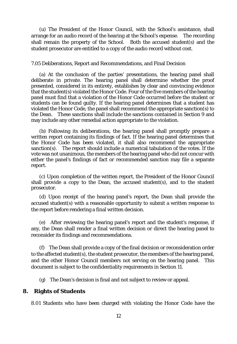(u) The President of the Honor Council, with the School's assistance, shall arrange for an audio record of the hearing at the School's expense. The recording shall remain the property of the School. Both the accused student(s) and the student prosecutor are entitled to a copy of the audio record without cost.

7.05 Deliberations, Report and Recommendations, and Final Decision

(a) At the conclusion of the parties' presentations, the hearing panel shall deliberate in private. The hearing panel shall determine whether the proof presented, considered in its entirety, establishes by clear and convincing evidence that the student(s) violated the Honor Code. Four of the five members of the hearing panel must find that a violation of the Honor Code occurred before the student or students can be found guilty. If the hearing panel determines that a student has violated the Honor Code, the panel shall recommend the appropriate sanction(s) to the Dean. These sanctions shall include the sanctions contained in Section 9 and may include any other remedial action appropriate to the violation.

(b) Following its deliberations, the hearing panel shall promptly prepare a written report containing its findings of fact. If the hearing panel determines that the Honor Code has been violated, it shall also recommend the appropriate sanction(s). The report should include a numerical tabulation of the votes. If the vote was not unanimous, the members of the hearing panel who did not concur with either the panel's findings of fact or recommended sanction may file a separate report.

(c) Upon completion of the written report, the President of the Honor Council shall provide a copy to the Dean, the accused student(s), and to the student prosecutor.

(d) Upon receipt of the hearing panel's report, the Dean shall provide the accused student(s) with a reasonable opportunity to submit a written response to the report before rendering a final written decision.

(e) After reviewing the hearing panel's report and the student's response, if any, the Dean shall render a final written decision or direct the hearing panel to reconsider its findings and recommendations.

(f) The Dean shall provide a copy of the final decision or reconsideration order to the affected student(s), the student prosecutor, the members of the hearing panel, and the other Honor Council members not serving on the hearing panel. This document is subject to the confidentiality requirements in Section 11.

(g) The Dean's decision is final and not subject to review or appeal.

# **8. Rights of Students**

8.01 Students who have been charged with violating the Honor Code have the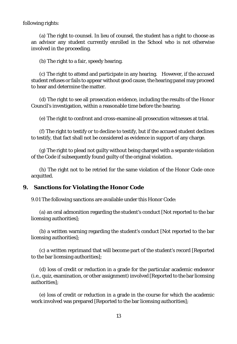following rights:

(a) The right to counsel. In lieu of counsel, the student has a right to choose as an advisor any student currently enrolled in the School who is not otherwise involved in the proceeding.

(b) The right to a fair, speedy hearing.

(c) The right to attend and participate in any hearing. However, if the accused student refuses or fails to appear without good cause, the hearing panel may proceed to hear and determine the matter.

(d) The right to see all prosecution evidence, including the results of the Honor Council's investigation, within a reasonable time before the hearing.

(e) The right to confront and cross-examine all prosecution witnesses at trial.

(f) The right to testify or to decline to testify, but if the accused student declines to testify, that fact shall not be considered as evidence in support of any charge.

(g) The right to plead not guilty without being charged with a separate violation of the Code if subsequently found guilty of the original violation.

(h) The right not to be retried for the same violation of the Honor Code once acquitted.

# **9. Sanctions for Violating the Honor Code**

9.01 The following sanctions are available under this Honor Code:

(a) an oral admonition regarding the student's conduct [Not reported to the bar licensing authorities];

(b) a written warning regarding the student's conduct [Not reported to the bar licensing authorities];

(c) a written reprimand that will become part of the student's record [Reported to the bar licensing authorities];

(d) loss of credit or reduction in a grade for the particular academic endeavor (i.e., quiz, examination, or other assignment) involved [Reported to the bar licensing authorities];

(e) loss of credit or reduction in a grade in the course for which the academic work involved was prepared [Reported to the bar licensing authorities];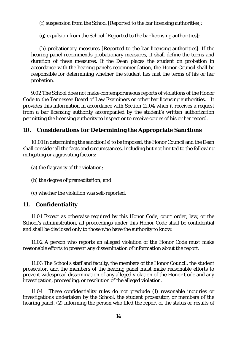(f) suspension from the School [Reported to the bar licensing authorities];

(g) expulsion from the School [Reported to the bar licensing authorities];

(h) probationary measures [Reported to the bar licensing authorities]. If the hearing panel recommends probationary measures, it shall define the terms and duration of these measures. If the Dean places the student on probation in accordance with the hearing panel's recommendation, the Honor Council shall be responsible for determining whether the student has met the terms of his or her probation.

9.02 The School does not make contemporaneous reports of violations of the Honor Code to the Tennessee Board of Law Examiners or other bar licensing authorities. It provides this information in accordance with Section 12.04 when it receives a request from a bar licensing authority accompanied by the student's written authorization permitting the licensing authority to inspect or to receive copies of his or her record.

# **10. Considerations for Determining the Appropriate Sanctions**

10.01 In determining the sanction(s) to be imposed, the Honor Council and the Dean shall consider all the facts and circumstances, including but not limited to the following mitigating or aggravating factors:

- (a) the flagrancy of the violation;
- (b) the degree of premeditation; and
- (c) whether the violation was self-reported.

# **11. Confidentiality**

11.01 Except as otherwise required by this Honor Code, court order, law, or the School's administration, all proceedings under this Honor Code shall be confidential and shall be disclosed only to those who have the authority to know.

11.02 A person who reports an alleged violation of the Honor Code must make reasonable efforts to prevent any dissemination of information about the report.

11.03 The School's staff and faculty, the members of the Honor Council, the student prosecutor, and the members of the hearing panel must make reasonable efforts to prevent widespread dissemination of any alleged violation of the Honor Code and any investigation, proceeding, or resolution of the alleged violation.

11.04 These confidentiality rules do not preclude (1) reasonable inquiries or investigations undertaken by the School, the student prosecutor, or members of the hearing panel, (2) informing the person who filed the report of the status or results of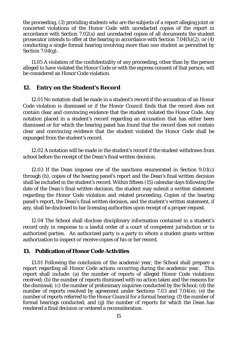the proceeding, (3) providing students who are the subjects of a report alleging joint or concerted violations of the Honor Code with unredacted copies of the report in accordance with Section 7.02(a) and unredacted copies of all documents the student prosecutor intends to offer at the hearing in accordance with Section 7.04(h)(2), or  $(4)$ conducting a single formal hearing involving more than one student as permitted by Section 7.04(g).

11.05 A violation of the confidentiality of any proceeding, other than by the person alleged to have violated the Honor Code or with the express consent of that person, will be considered an Honor Code violation.

# **12. Entry on the Student's Record**

12.01 No notation shall be made in a student's record if the accusation of an Honor Code violation is dismissed or if the Honor Council finds that the record does not contain clear and convincing evidence that the student violated the Honor Code. Any notation placed in a student's record regarding an accusation that has either been dismissed or for which the hearing panel has found that the record does not contain clear and convincing evidence that the student violated the Honor Code shall be expunged from the student's record.

12.02 A notation will be made in the student's record if the student withdraws from school before the receipt of the Dean's final written decision.

12.03 If the Dean imposes one of the sanctions enumerated in Section 9.01(c) through (h), copies of the hearing panel's report and the Dean's final written decision shall be included in the student's record. Within fifteen (15) calendar days following the date of the Dean's final written decision, the student may submit a written statement regarding the Honor Code violation and related proceeding. Copies of the hearing panel's report, the Dean's final written decision, and the student's written statement, if any, shall be disclosed to bar licensing authorities upon receipt of a proper request.

12.04 The School shall disclose disciplinary information contained in a student's record only in response to a lawful order of a court of competent jurisdiction or to authorized parties. An authorized party is a party to whom a student grants written authorization to inspect or receive copies of his or her record.

# **13. Publication of Honor Code Activities**

13.01 Following the conclusion of the academic year, the School shall prepare a report regarding all Honor Code actions occurring during the academic year. This report shall include: (a) the number of reports of alleged Honor Code violations received; (b) the number of reports dismissed with no action taken and the reasons for the dismissal; (c) the number of preliminary inquiries conducted by the School; (d) the number of reports resolved by agreement under Sections 7.03 and 7.04(e); (e) the number of reports referred to the Honor Council for a formal hearing; (f) the number of formal hearings conducted; and (g) the number of reports for which the Dean has rendered a final decision or ordered a reconsideration.